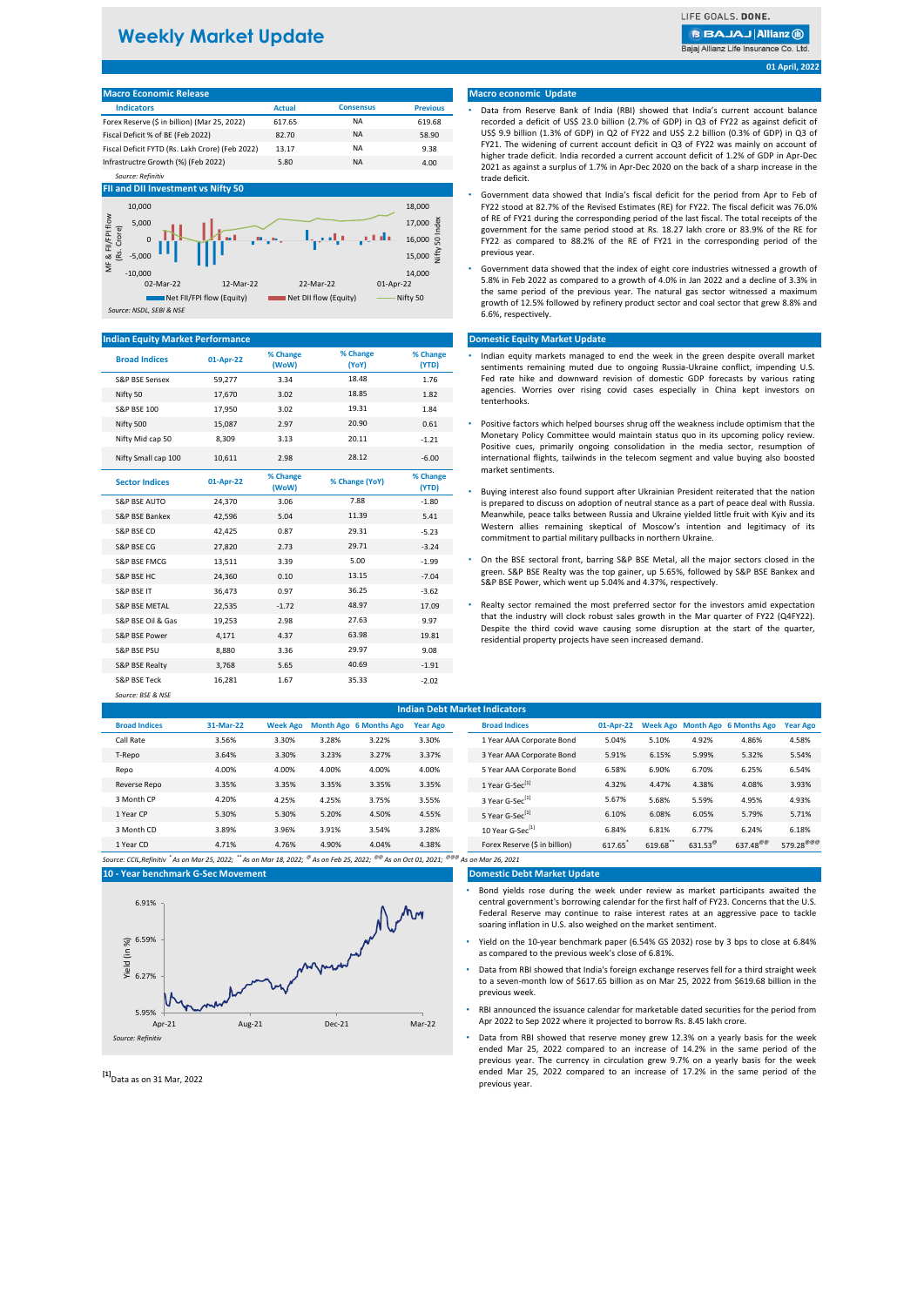# **Weekly Market Update**

LIFE GOALS, DONE **BBAJAJAIIianz** @

Bajaj Allianz Life Insurance Co. Ltd

**01 April, 2022**

### **Macro Economic Release**

| <b>Indicators</b>                               | <b>Actual</b> | <b>Consensus</b> | <b>Previous</b> |
|-------------------------------------------------|---------------|------------------|-----------------|
| Forex Reserve (\$ in billion) (Mar 25, 2022)    | 617.65        | <b>NA</b>        | 619.68          |
| Fiscal Deficit % of BE (Feb 2022)               | 82.70         | <b>NA</b>        | 58.90           |
| Fiscal Deficit FYTD (Rs. Lakh Crore) (Feb 2022) | 13.17         | <b>NA</b>        | 9.38            |
| Infrastructre Growth (%) (Feb 2022)             | 5.80          | <b>NA</b>        | 4.00            |

## *Source: Refinitiv*



#### **Indian Equity Market Performa**

| <b>Broad Indices</b>     | 01-Apr-22 | % Change<br>(WoW) | % Change<br>(YoY) | % Change<br>(YTD) |
|--------------------------|-----------|-------------------|-------------------|-------------------|
| S&P BSE Sensex           | 59,277    | 3.34              | 18.48             | 1.76              |
| Nifty 50                 | 17,670    | 3.02              | 18.85             | 1.82              |
| <b>S&amp;P BSE 100</b>   | 17,950    | 3.02              | 19.31             | 1.84              |
| Nifty 500                | 15,087    | 2.97              | 20.90             | 0.61              |
| Nifty Mid cap 50         | 8.309     | 3.13              | 20.11             | $-1.21$           |
| Nifty Small cap 100      | 10,611    | 2.98              | 28.12             | $-6.00$           |
| <b>Sector Indices</b>    | 01-Apr-22 | % Change<br>(WoW) | % Change (YoY)    | % Change<br>(YTD) |
| <b>S&amp;P BSE AUTO</b>  | 24.370    | 3.06              | 7.88              | $-1.80$           |
| S&P BSF Bankex           | 42.596    | 5.04              | 11.39             | 5.41              |
| S&P BSE CD               | 42.425    | 0.87              | 29.31             | $-5.23$           |
| S&P BSE CG               | 27,820    | 2.73              | 29.71             | $-3.24$           |
| S&P BSE FMCG             | 13,511    | 3.39              | 5.00              | $-1.99$           |
| <b>S&amp;P BSE HC</b>    | 24.360    | 0.10              | 13.15             | $-7.04$           |
| S&P BSF IT               | 36.473    | 0.97              | 36.25             | $-3.62$           |
| <b>S&amp;P BSE METAL</b> | 22,535    | $-1.72$           | 48.97             | 17.09             |
| S&P BSE Oil & Gas        | 19,253    | 2.98              | 27.63             | 9.97              |
| S&P BSF Power            | 4.171     | 4.37              | 63.98             | 19.81             |
| <b>S&amp;P BSE PSU</b>   | 8,880     | 3.36              | 29.97             | 9.08              |
| S&P BSE Realty           | 3,768     | 5.65              | 40.69             | $-1.91$           |
| S&P BSF Teck             | 16.281    | 1.67              | 35.33             | $-2.02$           |
| Source: BSF & NSF        |           |                   |                   |                   |

#### **Macro economic Update**

- Data from Reserve Bank of India (RBI) showed that India's current account balance recorded a deficit of US\$ 23.0 billion (2.7% of GDP) in Q3 of FY22 as against deficit of US\$ 9.9 billion (1.3% of GDP) in Q2 of FY22 and US\$ 2.2 billion (0.3% of GDP) in Q3 of FY21. The widening of current account deficit in Q3 of FY22 was mainly on account of higher trade deficit. India recorded a current account deficit of 1.2% of GDP in Apr-Dec 2021 as against a surplus of 1.7% in Apr-Dec 2020 on the back of a sharp increase in the trade deficit.
- Government data showed that India's fiscal deficit for the period from Apr to Feb of FY22 stood at 82.7% of the Revised Estimates (RE) for FY22. The fiscal deficit was 76.0% of RE of FY21 during the corresponding period of the last fiscal. The total receipts of the government for the same period stood at Rs. 18.27 lakh crore or 83.9% of the RE for FY22 as compared to 88.2% of the RE of FY21 in the corresponding period of the previous year.
- Government data showed that the index of eight core industries witnessed a growth of 5.8% in Feb 2022 as compared to a growth of 4.0% in Jan 2022 and a decline of 3.3% in the same period of the previous year. The natural gas sector witnessed a maximum growth of 12.5% followed by refinery product sector and coal sector that grew 8.8% and 6.6%, respectively.

#### **Domestic Equity Market Update**

- Indian equity markets managed to end the week in the green despite overall market sentiments remaining muted due to ongoing Russia-Ukraine conflict, impending U.S. Fed rate hike and downward revision of domestic GDP forecasts by various rating agencies. Worries over rising covid cases especially in China kept investors on tenterhooks.
- Positive factors which helped bourses shrug off the weakness include optimism that the Monetary Policy Committee would maintain status quo in its upcoming policy review. Positive cues, primarily ongoing consolidation in the media sector, resumption of international flights, tailwinds in the telecom segment and value buying also boosted market sentiments.
- Buying interest also found support after Ukrainian President reiterated that the nation is prepared to discuss on adoption of neutral stance as a part of peace deal with Russia. Meanwhile, peace talks between Russia and Ukraine yielded little fruit with Kyiv and its Western allies remaining skeptical of Moscow's intention and legitimacy of its commitment to partial military pullbacks in northern Ukraine.
- S&P BSE FMCG 13,511 3.39 5.00 -1.99 On the BSE sectoral front, barring S&P BSE Metal, all the major sectors closed in the green. S&P BSE Realty was the top gainer, up 5.65%, followed by S&P BSE Bankex and S&P BSE Power, which went up 5.04% and 4.37%, respectively.
	- Realty sector remained the most preferred sector for the investors amid expectation that the industry will clock robust sales growth in the Mar quarter of FY22 (Q4FY22). Despite the third covid wave causing some disruption at the start of the quarter, residential property projects have seen increased demand.

|                      | <b>Indian Debt Market Indicators</b> |                 |       |                               |                 |  |                               |           |        |                       |                                 |                       |  |
|----------------------|--------------------------------------|-----------------|-------|-------------------------------|-----------------|--|-------------------------------|-----------|--------|-----------------------|---------------------------------|-----------------------|--|
| <b>Broad Indices</b> | 31-Mar-22                            | <b>Week Ago</b> |       | <b>Month Ago 6 Months Ago</b> | <b>Year Ago</b> |  | <b>Broad Indices</b>          | 01-Apr-22 |        |                       | Week Ago Month Ago 6 Months Ago | <b>Year Ago</b>       |  |
| Call Rate            | 3.56%                                | 3.30%           | 3.28% | 3.22%                         | 3.30%           |  | 1 Year AAA Corporate Bond     | 5.04%     | 5.10%  | 4.92%                 | 4.86%                           | 4.58%                 |  |
| T-Repo               | 3.64%                                | 3.30%           | 3.23% | 3.27%                         | 3.37%           |  | 3 Year AAA Corporate Bond     | 5.91%     | 6.15%  | 5.99%                 | 5.32%                           | 5.54%                 |  |
| Repo                 | 4.00%                                | 4.00%           | 4.00% | 4.00%                         | 4.00%           |  | 5 Year AAA Corporate Bond     | 6.58%     | 6.90%  | 6.70%                 | 6.25%                           | 6.54%                 |  |
| Reverse Repo         | 3.35%                                | 3.35%           | 3.35% | 3.35%                         | 3.35%           |  | 1 Year G-Sec <sup>[1]</sup>   | 4.32%     | 4.47%  | 4.38%                 | 4.08%                           | 3.93%                 |  |
| 3 Month CP           | 4.20%                                | 4.25%           | 4.25% | 3.75%                         | 3.55%           |  | 3 Year G-Sec <sup>[1]</sup>   | 5.67%     | 5.68%  | 5.59%                 | 4.95%                           | 4.93%                 |  |
| 1 Year CP            | 5.30%                                | 5.30%           | 5.20% | 4.50%                         | 4.55%           |  | 5 Year G-Sec <sup>[1]</sup>   | 6.10%     | 6.08%  | 6.05%                 | 5.79%                           | 5.71%                 |  |
| 3 Month CD           | 3.89%                                | 3.96%           | 3.91% | 3.54%                         | 3.28%           |  | 10 Year G-Sec <sup>[1]</sup>  | 6.84%     | 6.81%  | 6.77%                 | 6.24%                           | 6.18%                 |  |
| 1 Year CD            | 4.71%                                | 4.76%           | 4.90% | 4.04%                         | 4.38%           |  | Forex Reserve (\$ in billion) | 617.65    | 619.68 | $631.53^{\circ\circ}$ | $637.48^{\circ\circ\circ}$      | $579.28^{\text{e-e}}$ |  |
|                      |                                      |                 |       | $\sim$                        | $\sim$          |  |                               |           |        |                       |                                 |                       |  |

**Domestic Debt Market Update**

*Source: CCIL,Refinitiv \* As on Mar 25, 2022; \*\* As on Mar 18, 2022; @ As on Feb 25, 2022; @@ As on Oct 01, 2021; @@@ As on Mar 26, 2021* **10 - Year benchmark G-Sec Movement**



- Bond yields rose during the week under review as market participants awaited the central government's borrowing calendar for the first half of FY23. Concerns that the U.S. Federal Reserve may continue to raise interest rates at an aggressive pace to tackle soaring inflation in U.S. also weighed on the market sentiment.
- Yield on the 10-year benchmark paper (6.54% GS 2032) rose by 3 bps to close at 6.84% as compared to the previous week's close of 6.81%.
- Data from RBI showed that India's foreign exchange reserves fell for a third straight week to a seven-month low of \$617.65 billion as on Mar 25, 2022 from \$619.68 billion in the previous week.
- RBI announced the issuance calendar for marketable dated securities for the period from Apr 2022 to Sep 2022 where it projected to borrow Rs. 8.45 lakh crore.
- Data from RBI showed that reserve money grew 12.3% on a yearly basis for the week ended Mar 25, 2022 compared to an increase of 14.2% in the same period of the previous year. The currency in circulation grew 9.7% on a yearly basis for the week ended Mar 25, 2022 compared to an increase of 17.2% in the same period of the previous year.